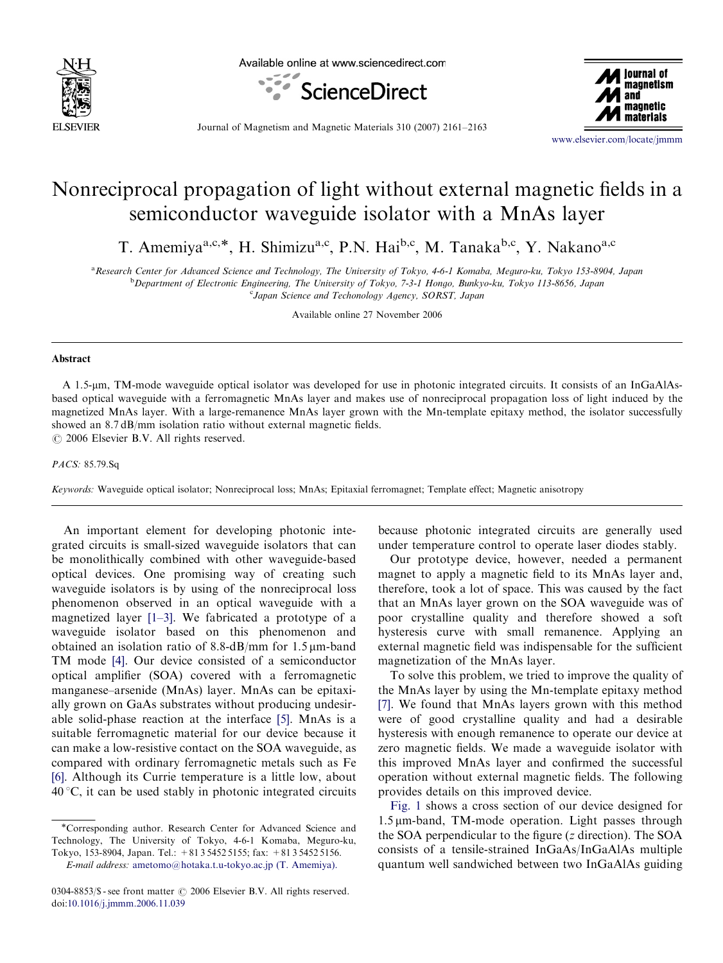

Available online at www.sciencedirect.com





Journal of Magnetism and Magnetic Materials 310 (2007) 2161–2163

<www.elsevier.com/locate/jmmm>

## Nonreciprocal propagation of light without external magnetic fields in a semiconductor waveguide isolator with a MnAs layer

T. Amemiya<sup>a,c,\*</sup>, H. Shimizu<sup>a,c</sup>, P.N. Hai<sup>b,c</sup>, M. Tanaka<sup>b,c</sup>, Y. Nakano<sup>a,c</sup>

<sup>a</sup> Research Center for Advanced Science and Technology, The University of Tokyo, 4-6-1 Komaba, Meguro-ku, Tokyo 153-8904, Japan <sup>b</sup> Department of Electronic Engineering, The University of Tokyo, 7-3-1 Hongo, Bunkyo-ku, Tokyo 113-8656, Japan <sup>c</sup>Japan Science and Techonology Agency, SORST, Japan

Available online 27 November 2006

## Abstract

A 1.5-mm, TM-mode waveguide optical isolator was developed for use in photonic integrated circuits. It consists of an InGaAlAsbased optical waveguide with a ferromagnetic MnAs layer and makes use of nonreciprocal propagation loss of light induced by the magnetized MnAs layer. With a large-remanence MnAs layer grown with the Mn-template epitaxy method, the isolator successfully showed an 8.7 dB/mm isolation ratio without external magnetic fields.

 $\odot$  2006 Elsevier B.V. All rights reserved.

## PACS: 85.79.Sq

Keywords: Waveguide optical isolator; Nonreciprocal loss; MnAs; Epitaxial ferromagnet; Template effect; Magnetic anisotropy

An important element for developing photonic integrated circuits is small-sized waveguide isolators that can be monolithically combined with other waveguide-based optical devices. One promising way of creating such waveguide isolators is by using of the nonreciprocal loss phenomenon observed in an optical waveguide with a magnetized layer [\[1–3\]](#page-2-0). We fabricated a prototype of a waveguide isolator based on this phenomenon and obtained an isolation ratio of 8.8-dB/mm for  $1.5 \mu m$ -band TM mode [\[4\].](#page-2-0) Our device consisted of a semiconductor optical amplifier (SOA) covered with a ferromagnetic manganese–arsenide (MnAs) layer. MnAs can be epitaxially grown on GaAs substrates without producing undesirable solid-phase reaction at the interface [\[5\].](#page-2-0) MnAs is a suitable ferromagnetic material for our device because it can make a low-resistive contact on the SOA waveguide, as compared with ordinary ferromagnetic metals such as Fe [\[6\].](#page-2-0) Although its Currie temperature is a little low, about  $40^{\circ}$ C, it can be used stably in photonic integrated circuits

\*Corresponding author. Research Center for Advanced Science and Technology, The University of Tokyo, 4-6-1 Komaba, Meguro-ku, Tokyo, 153-8904, Japan. Tel.: +81 3 5452 5155; fax: +81 3 5452 5156.

because photonic integrated circuits are generally used under temperature control to operate laser diodes stably.

Our prototype device, however, needed a permanent magnet to apply a magnetic field to its MnAs layer and, therefore, took a lot of space. This was caused by the fact that an MnAs layer grown on the SOA waveguide was of poor crystalline quality and therefore showed a soft hysteresis curve with small remanence. Applying an external magnetic field was indispensable for the sufficient magnetization of the MnAs layer.

To solve this problem, we tried to improve the quality of the MnAs layer by using the Mn-template epitaxy method [\[7\].](#page-2-0) We found that MnAs layers grown with this method were of good crystalline quality and had a desirable hysteresis with enough remanence to operate our device at zero magnetic fields. We made a waveguide isolator with this improved MnAs layer and confirmed the successful operation without external magnetic fields. The following provides details on this improved device.

[Fig. 1](#page-1-0) shows a cross section of our device designed for  $1.5 \mu$ m-band, TM-mode operation. Light passes through the SOA perpendicular to the figure  $(z$  direction). The SOA consists of a tensile-strained InGaAs/InGaAlAs multiple quantum well sandwiched between two InGaAlAs guiding

E-mail address: [ametomo@hotaka.t.u-tokyo.ac.jp \(T. Amemiya\).](mailto:ametomo@hotaka.t.u-tokyo.ac.jp)

<sup>0304-8853/\$ -</sup> see front matter  $\odot$  2006 Elsevier B.V. All rights reserved. doi:[10.1016/j.jmmm.2006.11.039](dx.doi.org/10.1016/j.jmmm.2006.11.039)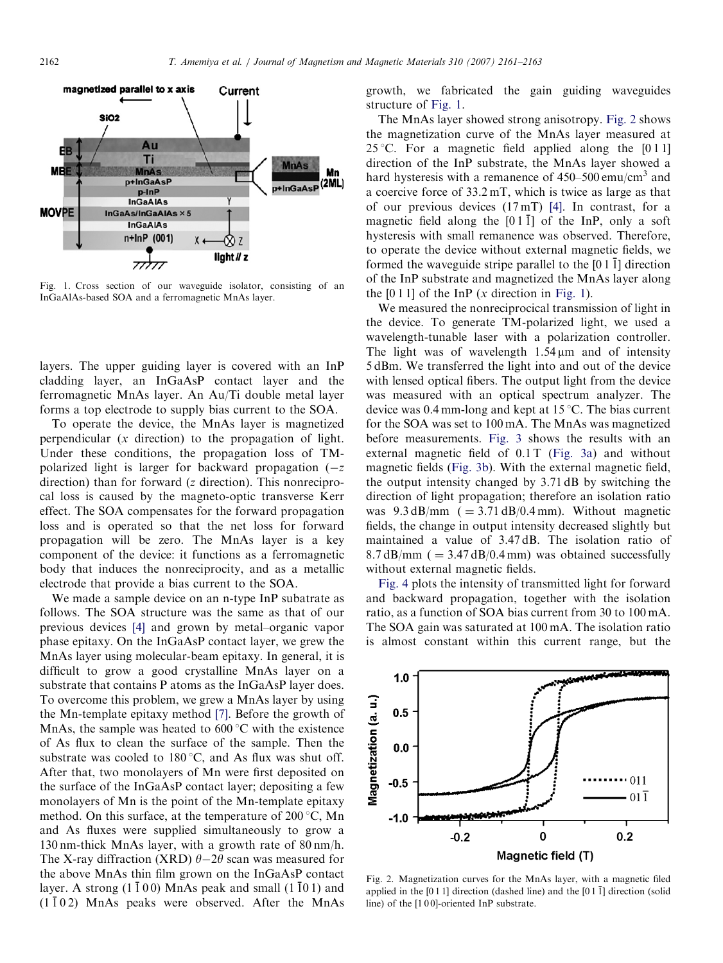<span id="page-1-0"></span>

Fig. 1. Cross section of our waveguide isolator, consisting of an InGaAlAs-based SOA and a ferromagnetic MnAs layer.

layers. The upper guiding layer is covered with an InP cladding layer, an InGaAsP contact layer and the ferromagnetic MnAs layer. An Au/Ti double metal layer forms a top electrode to supply bias current to the SOA.

To operate the device, the MnAs layer is magnetized perpendicular (x direction) to the propagation of light. Under these conditions, the propagation loss of TMpolarized light is larger for backward propagation  $(-z)$ direction) than for forward (z direction). This nonreciprocal loss is caused by the magneto-optic transverse Kerr effect. The SOA compensates for the forward propagation loss and is operated so that the net loss for forward propagation will be zero. The MnAs layer is a key component of the device: it functions as a ferromagnetic body that induces the nonreciprocity, and as a metallic electrode that provide a bias current to the SOA.

We made a sample device on an n-type InP subatrate as follows. The SOA structure was the same as that of our previous devices [\[4\]](#page-2-0) and grown by metal–organic vapor phase epitaxy. On the InGaAsP contact layer, we grew the MnAs layer using molecular-beam epitaxy. In general, it is difficult to grow a good crystalline MnAs layer on a substrate that contains P atoms as the InGaAsP layer does. To overcome this problem, we grew a MnAs layer by using the Mn-template epitaxy method [\[7\].](#page-2-0) Before the growth of MnAs, the sample was heated to  $600^{\circ}$ C with the existence of As flux to clean the surface of the sample. Then the substrate was cooled to  $180^{\circ}$ C, and As flux was shut off. After that, two monolayers of Mn were first deposited on the surface of the InGaAsP contact layer; depositing a few monolayers of Mn is the point of the Mn-template epitaxy method. On this surface, at the temperature of  $200^{\circ}$ C, Mn and As fluxes were supplied simultaneously to grow a 130 nm-thick MnAs layer, with a growth rate of 80 nm/h. The X-ray diffraction (XRD)  $\theta$ -2 $\theta$  scan was measured for the above MnAs thin film grown on the InGaAsP contact layer. A strong  $(1\bar{1}00)$  MnAs peak and small  $(1\bar{1}01)$  and  $(1\bar{1}02)$  MnAs peaks were observed. After the MnAs growth, we fabricated the gain guiding waveguides structure of Fig. 1.

The MnAs layer showed strong anisotropy. Fig. 2 shows the magnetization curve of the MnAs layer measured at 25 °C. For a magnetic field applied along the  $[0 1 1]$ direction of the InP substrate, the MnAs layer showed a hard hysteresis with a remanence of  $450-500$  emu/cm<sup>3</sup> and a coercive force of 33.2 mT, which is twice as large as that of our previous devices (17 mT) [\[4\]](#page-2-0). In contrast, for a magnetic field along the  $[01\bar{1}]$  of the InP, only a soft hysteresis with small remanence was observed. Therefore, to operate the device without external magnetic fields, we formed the waveguide stripe parallel to the  $[011]$  direction of the InP substrate and magnetized the MnAs layer along the  $[0 1 1]$  of the InP (x direction in Fig. 1).

We measured the nonreciprocical transmission of light in the device. To generate TM-polarized light, we used a wavelength-tunable laser with a polarization controller. The light was of wavelength  $1.54 \,\mu m$  and of intensity 5 dBm. We transferred the light into and out of the device with lensed optical fibers. The output light from the device was measured with an optical spectrum analyzer. The device was  $0.4$  mm-long and kept at 15 °C. The bias current for the SOA was set to 100 mA. The MnAs was magnetized before measurements. [Fig. 3](#page-2-0) shows the results with an external magnetic field of  $0.1$  T [\(Fig. 3a](#page-2-0)) and without magnetic fields ([Fig. 3b\)](#page-2-0). With the external magnetic field, the output intensity changed by 3.71 dB by switching the direction of light propagation; therefore an isolation ratio was  $9.3 \text{ dB/mm}$  (= 3.71 dB/0.4 mm). Without magnetic fields, the change in output intensity decreased slightly but maintained a value of 3.47 dB. The isolation ratio of  $8.7 \text{ dB/mm}$  (  $= 3.47 \text{ dB}/0.4 \text{ mm}$ ) was obtained successfully without external magnetic fields.

[Fig. 4](#page-2-0) plots the intensity of transmitted light for forward and backward propagation, together with the isolation ratio, as a function of SOA bias current from 30 to 100 mA. The SOA gain was saturated at 100 mA. The isolation ratio is almost constant within this current range, but the



Fig. 2. Magnetization curves for the MnAs layer, with a magnetic filed applied in the  $[011]$  direction (dashed line) and the  $[011]$  direction (solid line) of the [1 0 0]-oriented InP substrate.